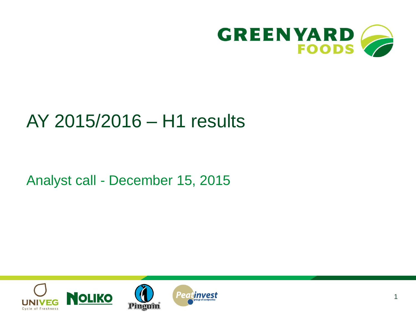

# AY 2015/2016 – H1 results

Analyst call - December 15, 2015

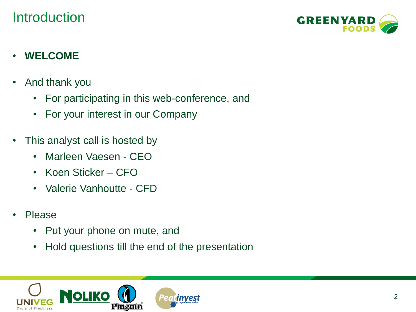#### **Introduction**



#### • **WELCOME**

- And thank you
	- For participating in this web-conference, and
	- For your interest in our Company
- This analyst call is hosted by
	- Marleen Vaesen CEO
	- Koen Sticker CFO
	- Valerie Vanhoutte CFD
- Please
	- Put your phone on mute, and
	- Hold questions till the end of the presentation

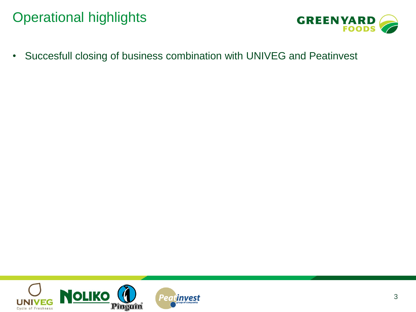#### Operational highlights



• Succesfull closing of business combination with UNIVEG and Peatinvest

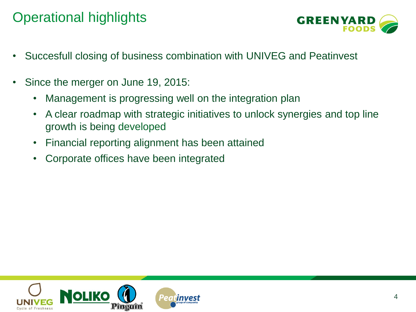#### Operational highlights



- Succesfull closing of business combination with UNIVEG and Peatinvest
- Since the merger on June 19, 2015:
	- Management is progressing well on the integration plan
	- A clear roadmap with strategic initiatives to unlock synergies and top line growth is being developed
	- Financial reporting alignment has been attained
	- Corporate offices have been integrated

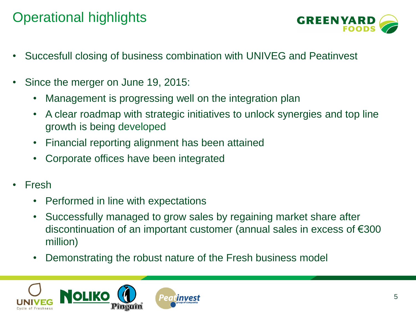### Operational highlights



- Succesfull closing of business combination with UNIVEG and Peatinvest
- Since the merger on June 19, 2015:
	- Management is progressing well on the integration plan
	- A clear roadmap with strategic initiatives to unlock synergies and top line growth is being developed
	- Financial reporting alignment has been attained
	- Corporate offices have been integrated
- Fresh
	- Performed in line with expectations
	- Successfully managed to grow sales by regaining market share after discontinuation of an important customer (annual sales in excess of €300 million)
	- Demonstrating the robust nature of the Fresh business model

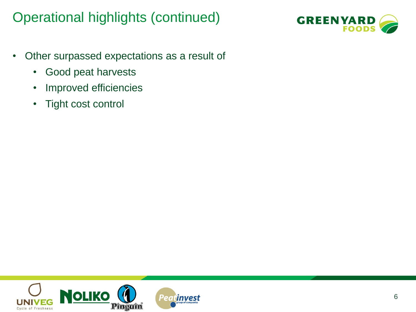#### Operational highlights (continued)



- Other surpassed expectations as a result of
	- Good peat harvests
	- Improved efficiencies
	- Tight cost control

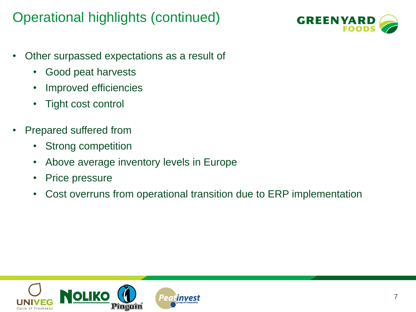#### Operational highlights (continued)



- Other surpassed expectations as a result of
	- Good peat harvests
	- Improved efficiencies
	- Tight cost control
- Prepared suffered from
	- Strong competition
	- Above average inventory levels in Europe
	- Price pressure
	- Cost overruns from operational transition due to ERP implementation

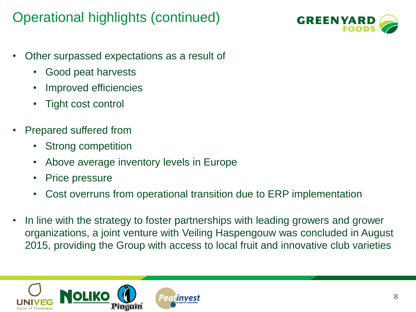#### Operational highlights (continued)



- Other surpassed expectations as a result of
	- Good peat harvests
	- Improved efficiencies
	- Tight cost control
- Prepared suffered from
	- Strong competition
	- Above average inventory levels in Europe
	- Price pressure
	- Cost overruns from operational transition due to ERP implementation
- In line with the strategy to foster partnerships with leading growers and grower organizations, a joint venture with Veiling Haspengouw was concluded in August 2015, providing the Group with access to local fruit and innovative club varieties

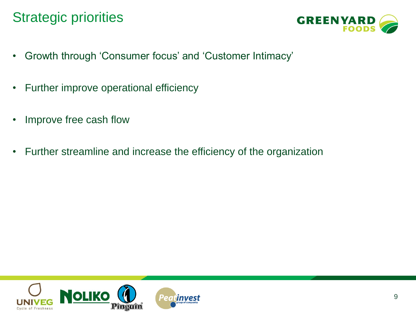#### Strategic priorities



- Growth through 'Consumer focus' and 'Customer Intimacy'
- Further improve operational efficiency
- Improve free cash flow
- Further streamline and increase the efficiency of the organization

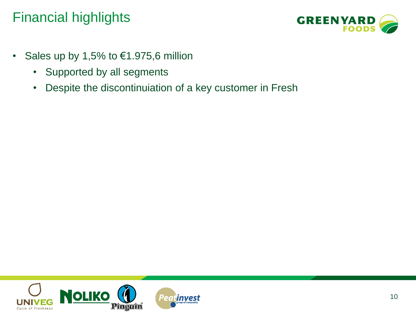

- Sales up by 1,5% to  $€1.975,6$  million
	- Supported by all segments
	- Despite the discontinuiation of a key customer in Fresh

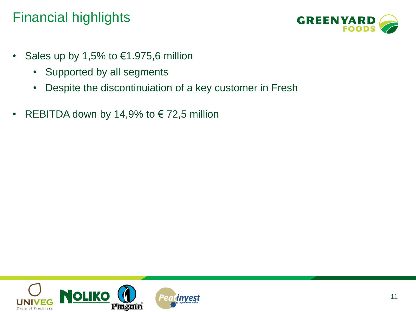

- Sales up by 1,5% to  $€1.975,6$  million
	- Supported by all segments
	- Despite the discontinuiation of a key customer in Fresh
- REBITDA down by 14,9% to  $\epsilon$  72,5 million

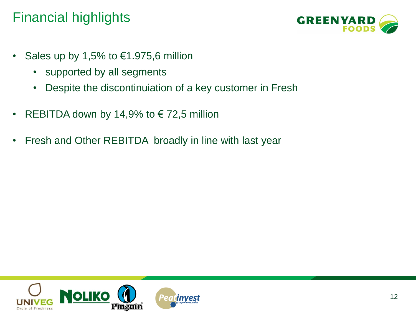

- Sales up by 1,5% to  $€1.975,6$  million
	- supported by all segments
	- Despite the discontinuiation of a key customer in Fresh
- REBITDA down by 14,9% to  $\epsilon$  72,5 million
- Fresh and Other REBITDA broadly in line with last year

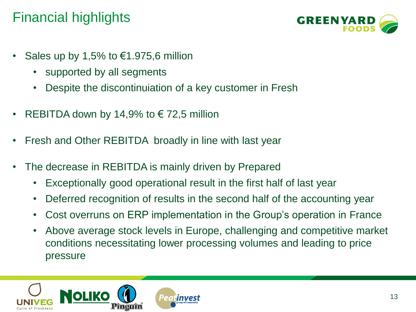

- Sales up by 1,5% to  $€1.975,6$  million
	- supported by all segments
	- Despite the discontinuiation of a key customer in Fresh
- REBITDA down by 14,9% to  $\epsilon$  72,5 million
- Fresh and Other REBITDA broadly in line with last year
- The decrease in REBITDA is mainly driven by Prepared
	- Exceptionally good operational result in the first half of last year
	- Deferred recognition of results in the second half of the accounting year
	- Cost overruns on ERP implementation in the Group's operation in France
	- Above average stock levels in Europe, challenging and competitive market conditions necessitating lower processing volumes and leading to price pressure

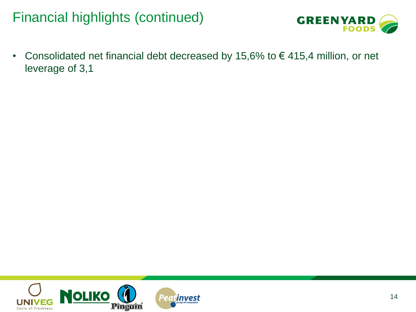#### Financial highlights (continued)



• Consolidated net financial debt decreased by 15,6% to  $\epsilon$  415,4 million, or net leverage of 3,1

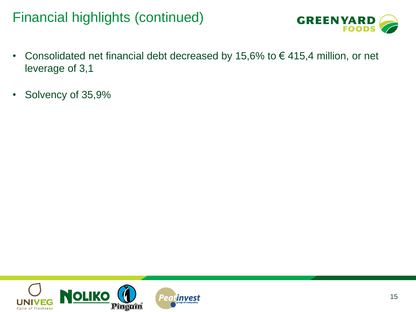#### Financial highlights (continued)



- Consolidated net financial debt decreased by 15,6% to  $\epsilon$  415,4 million, or net leverage of 3,1
- Solvency of 35,9%

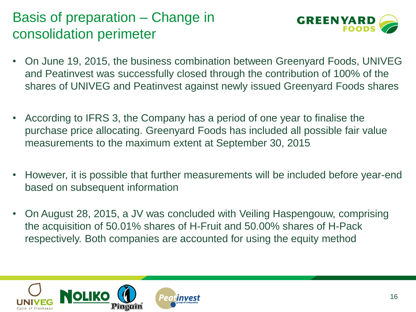### Basis of preparation – Change in consolidation perimeter



- On June 19, 2015, the business combination between Greenyard Foods, UNIVEG and Peatinvest was successfully closed through the contribution of 100% of the shares of UNIVEG and Peatinvest against newly issued Greenyard Foods shares
- According to IFRS 3, the Company has a period of one year to finalise the purchase price allocating. Greenyard Foods has included all possible fair value measurements to the maximum extent at September 30, 2015
- However, it is possible that further measurements will be included before year-end based on subsequent information
- On August 28, 2015, a JV was concluded with Veiling Haspengouw, comprising the acquisition of 50.01% shares of H-Fruit and 50.00% shares of H-Pack respectively. Both companies are accounted for using the equity method

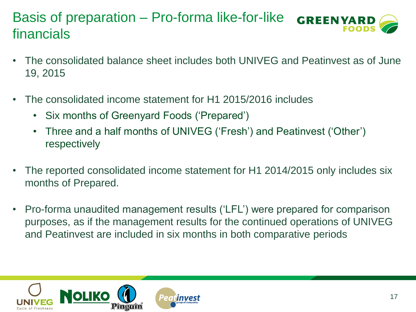#### Basis of preparation – Pro-forma like-for-like **GREEN YAR** financials

- The consolidated balance sheet includes both UNIVEG and Peatinvest as of June 19, 2015
- The consolidated income statement for H1 2015/2016 includes
	- Six months of Greenyard Foods ('Prepared')
	- Three and a half months of UNIVEG ('Fresh') and Peatinvest ('Other') respectively
- The reported consolidated income statement for H1 2014/2015 only includes six months of Prepared.
- Pro-forma unaudited management results ('LFL') were prepared for comparison purposes, as if the management results for the continued operations of UNIVEG and Peatinvest are included in six months in both comparative periods

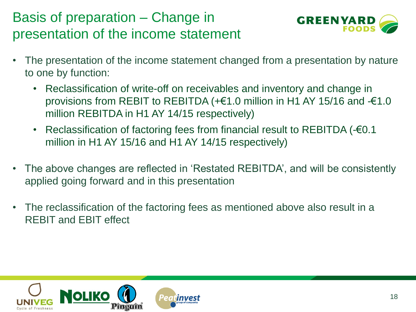## Basis of preparation – Change in presentation of the income statement



- The presentation of the income statement changed from a presentation by nature to one by function:
	- Reclassification of write-off on receivables and inventory and change in provisions from REBIT to REBITDA (+€1.0 million in H1 AY 15/16 and -€1.0 million REBITDA in H1 AY 14/15 respectively)
	- Reclassification of factoring fees from financial result to REBITDA (-€0.1 million in H1 AY 15/16 and H1 AY 14/15 respectively)
- The above changes are reflected in 'Restated REBITDA', and will be consistently applied going forward and in this presentation
- The reclassification of the factoring fees as mentioned above also result in a REBIT and EBIT effect

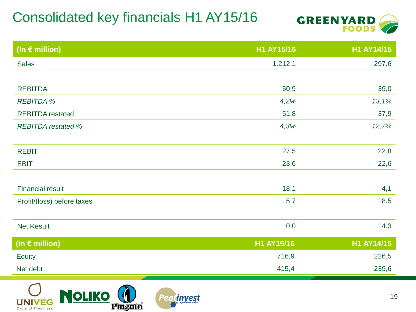### Consolidated key financials H1 AY15/16



| H1 AY15/16 | H1 AY14/15 |
|------------|------------|
| 1.212,1    | 297,6      |
|            |            |
| 50,9       | 39,0       |
| 4,2%       | 13,1%      |
| 51,8       | 37,9       |
| 4,3%       | 12,7%      |
|            |            |
| 27,5       | 22,8       |
| 23,6       | 22,6       |
|            |            |
| $-18,1$    | $-4,1$     |
| 5,7        | 18,5       |
|            |            |
| 0,0        | 14,3       |
|            | H1 AY14/15 |
| 716,9      | 226,5      |
| 415,4      | 239,6      |
|            | H1 AY15/16 |

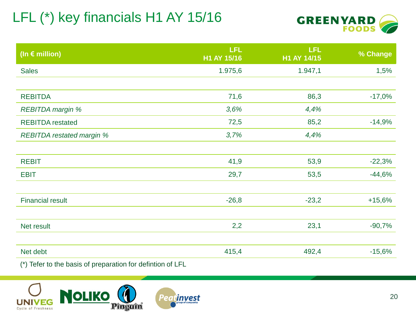# LFL (\*) key financials H1 AY 15/16



| (In $\epsilon$ million)          | LFL<br>H1 AY 15/16 | <b>LFL</b><br>H1 AY 14/15 | % Change |
|----------------------------------|--------------------|---------------------------|----------|
| <b>Sales</b>                     | 1.975,6            | 1.947,1                   | 1,5%     |
|                                  |                    |                           |          |
| <b>REBITDA</b>                   | 71,6               | 86,3                      | $-17,0%$ |
| <b>REBITDA</b> margin %          | 3,6%               | 4,4%                      |          |
| <b>REBITDA</b> restated          | 72,5               | 85,2                      | $-14,9%$ |
| <b>REBITDA</b> restated margin % | 3,7%               | 4,4%                      |          |
|                                  |                    |                           |          |
| <b>REBIT</b>                     | 41,9               | 53,9                      | $-22,3%$ |
| <b>EBIT</b>                      | 29,7               | 53,5                      | $-44,6%$ |
|                                  |                    |                           |          |
| <b>Financial result</b>          | $-26,8$            | $-23,2$                   | $+15,6%$ |
|                                  |                    |                           |          |
| Net result                       | 2,2                | 23,1                      | $-90,7%$ |
|                                  |                    |                           |          |
| Net debt                         | 415,4              | 492,4                     | $-15,6%$ |
|                                  |                    |                           |          |

(\*) Tefer to the basis of preparation for defintion of LFL

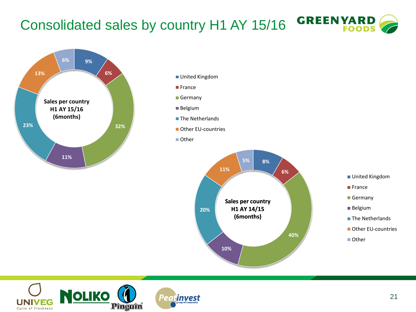#### **GREEN YARD** Consolidated sales by country H1 AY 15/16



- United Kingdom
- **France**
- Germany
- Belgium
- $\blacksquare$  The Netherlands
- **Other EU-countries**
- Other



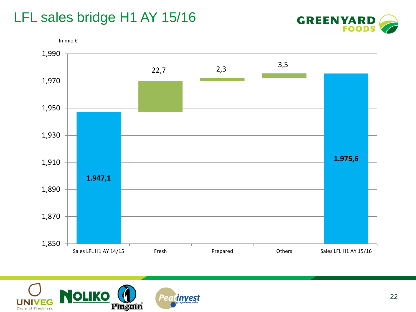#### LFL sales bridge H1 AY 15/16





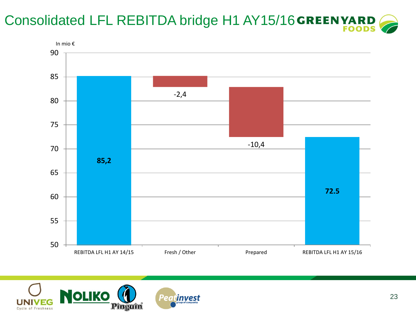# Consolidated LFL REBITDA bridge H1 AY15/16 GREEN YARD



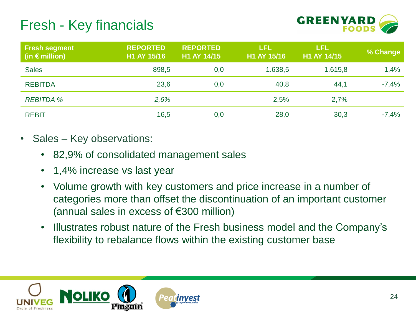#### Fresh - Key financials



| <b>Fresh segment</b><br>(in $\epsilon$ million) | <b>REPORTED</b><br>H1 AY 15/16 | <b>REPORTED</b><br>H1 AY 14/15 | <b>LFL</b><br>H1 AY 15/16 | <b>LFL</b><br>H1 AY 14/15 | % Change |
|-------------------------------------------------|--------------------------------|--------------------------------|---------------------------|---------------------------|----------|
| <b>Sales</b>                                    | 898,5                          | 0,0                            | 1.638,5                   | 1.615,8                   | 1,4%     |
| <b>REBITDA</b>                                  | 23,6                           | 0,0                            | 40,8                      | 44,1                      | $-7,4%$  |
| <b>REBITDA %</b>                                | 2,6%                           |                                | 2,5%                      | 2,7%                      |          |
| <b>REBIT</b>                                    | 16,5                           | 0,0                            | 28,0                      | 30,3                      | $-7,4%$  |

- Sales Key observations:
	- 82,9% of consolidated management sales
	- 1,4% increase vs last year
	- Volume growth with key customers and price increase in a number of categories more than offset the discontinuation of an important customer (annual sales in excess of €300 million)
	- Illustrates robust nature of the Fresh business model and the Company's flexibility to rebalance flows within the existing customer base

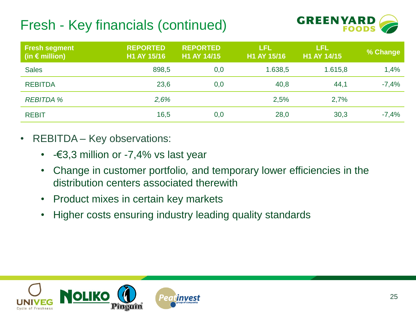## Fresh - Key financials (continued)



| <b>Fresh segment</b><br>(in $\epsilon$ million) | <b>REPORTED</b><br>H1 AY 15/16 | <b>REPORTED</b><br>H1 AY 14/15 | <b>LFL</b><br>H1 AY 15/16 | LFL<br>H1 AY 14/15 | % Change |
|-------------------------------------------------|--------------------------------|--------------------------------|---------------------------|--------------------|----------|
| <b>Sales</b>                                    | 898,5                          | 0,0                            | 1.638,5                   | 1.615,8            | 1,4%     |
| <b>REBITDA</b>                                  | 23,6                           | 0,0                            | 40,8                      | 44,1               | $-7,4%$  |
| <b>REBITDA %</b>                                | 2,6%                           |                                | 2,5%                      | 2,7%               |          |
| <b>REBIT</b>                                    | 16,5                           | 0,0                            | 28,0                      | 30,3               | $-7,4%$  |

- REBITDA Key observations:
	- $-\epsilon$ 3,3 million or  $-7,4\%$  vs last year
	- Change in customer portfolio*,* and temporary lower efficiencies in the distribution centers associated therewith
	- Product mixes in certain key markets
	- Higher costs ensuring industry leading quality standards

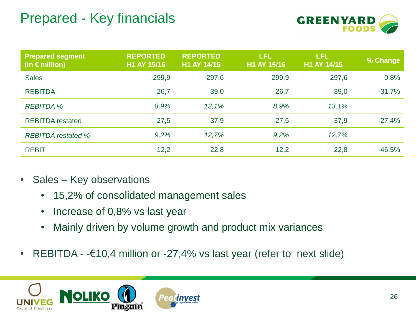#### Prepared - Key financials



| <b>Prepared segment</b><br>(in $\epsilon$ million) | <b>REPORTED</b><br>H1 AY 15/16 | <b>REPORTED</b><br>H1 AY 14/15 | LFL<br>H1 AY 15/16 | LFL<br>H1 AY 14/15 | % Change |
|----------------------------------------------------|--------------------------------|--------------------------------|--------------------|--------------------|----------|
| <b>Sales</b>                                       | 299,9                          | 297,6                          | 299,9              | 297,6              | 0,8%     |
| <b>REBITDA</b>                                     | 26,7                           | 39,0                           | 26,7               | 39,0               | $-31,7%$ |
| <b>REBITDA %</b>                                   | 8,9%                           | 13,1%                          | 8,9%               | 13,1%              |          |
| <b>REBITDA</b> restated                            | 27,5                           | 37,9                           | 27,5               | 37,9               | $-27,4%$ |
| <b>REBITDA</b> restated %                          | 9,2%                           | 12,7%                          | 9,2%               | 12,7%              |          |
| <b>REBIT</b>                                       | 12,2                           | 22,8                           | 12,2               | 22,8               | $-46,5%$ |

- Sales Key observations
	- 15,2% of consolidated management sales
	- Increase of 0,8% vs last year
	- Mainly driven by volume growth and product mix variances
- REBITDA  $-610,4$  million or  $-27,4%$  vs last year (refer to next slide)

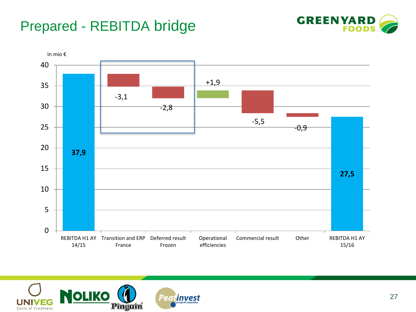### Prepared - REBITDA bridge





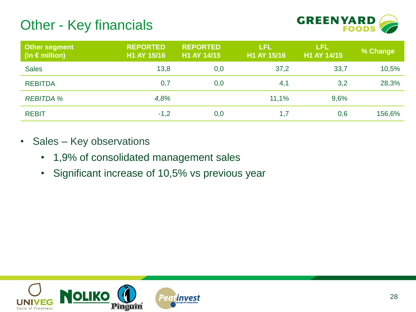#### Other - Key financials



| <b>Other segment</b><br>(in $\epsilon$ million) | <b>REPORTED</b><br>H1 AY 15/16 | <b>REPORTED</b><br>H1 AY 14/15 | <b>LFL</b><br>H1 AY 15/16 | <b>LFL</b><br>H1 AY 14/15 | % Change |
|-------------------------------------------------|--------------------------------|--------------------------------|---------------------------|---------------------------|----------|
| <b>Sales</b>                                    | 13,8                           | 0,0                            | 37,2                      | 33,7                      | 10,5%    |
| <b>REBITDA</b>                                  | 0,7                            | 0,0                            | 4,1                       | 3,2                       | 28,3%    |
| <b>REBITDA %</b>                                | 4,8%                           |                                | 11,1%                     | 9,6%                      |          |
| <b>REBIT</b>                                    | $-1,2$                         | 0,0                            | 1,7                       | 0,6                       | 156,6%   |

- Sales Key observations
	- 1,9% of consolidated management sales
	- Significant increase of 10,5% vs previous year

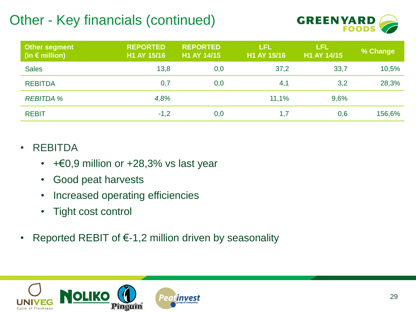## Other - Key financials (continued)



| <b>Other segment</b><br>(in $\epsilon$ million) | <b>REPORTED</b><br>H1 AY 15/16 | <b>REPORTED</b><br>H1 AY 14/15 | LFL<br>H1 AY 15/16 | LFL<br>H1 AY 14/15 | % Change |
|-------------------------------------------------|--------------------------------|--------------------------------|--------------------|--------------------|----------|
| <b>Sales</b>                                    | 13,8                           | 0,0                            | 37,2               | 33,7               | 10,5%    |
| <b>REBITDA</b>                                  | 0,7                            | 0,0                            | 4,1                | 3,2                | 28,3%    |
| <b>REBITDA %</b>                                | 4,8%                           |                                | 11,1%              | 9,6%               |          |
| <b>REBIT</b>                                    | $-1,2$                         | 0,0                            | 1,7                | 0,6                | 156,6%   |

#### • REBITDA

- +€0,9 million or +28,3% vs last year
- Good peat harvests
- Increased operating efficiencies
- Tight cost control
- Reported REBIT of  $\epsilon$ -1,2 million driven by seasonality

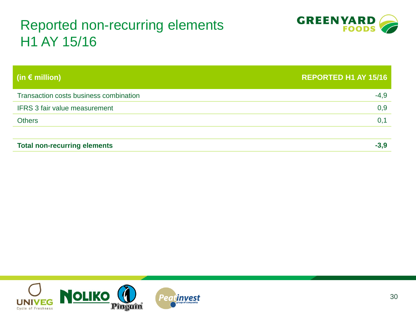#### Reported non-recurring elements H1 AY 15/16



| (in $\epsilon$ million)                | <b>REPORTED H1 AY 15/16</b> |
|----------------------------------------|-----------------------------|
| Transaction costs business combination | $-4,9$                      |
| <b>IFRS 3 fair value measurement</b>   | 0,9                         |
| <b>Others</b>                          | 0,1                         |
|                                        |                             |
| <b>Total non-recurring elements</b>    | $-3.9$                      |

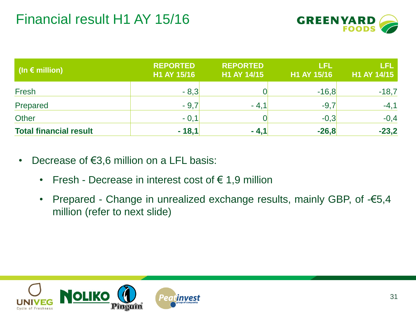

| $\vert$ (In $\epsilon$ million) | <b>REPORTED</b><br>H1 AY 15/16 | <b>REPORTED</b><br>H1 AY 14/15 | LEL<br>H1 AY 15/16 | LFL<br>H1 AY 14/15 |
|---------------------------------|--------------------------------|--------------------------------|--------------------|--------------------|
| Fresh                           | $-8,3$                         |                                | $-16,8$            | $-18,7$            |
| Prepared                        | $-9,7$                         | $-4.1$                         | $-9,7$             | $-4,1$             |
| <b>Other</b>                    | $-0,1$                         |                                | $-0,3$             | $-0,4$             |
| <b>Total financial result</b>   | $-18,1$                        | $-4,1$                         | $-26,8$            | $-23,2$            |

- Decrease of  $€3,6$  million on a LFL basis:
	- Fresh Decrease in interest cost of  $f{6}$  1,9 million
	- Prepared Change in unrealized exchange results, mainly GBP, of -€5,4 million (refer to next slide)

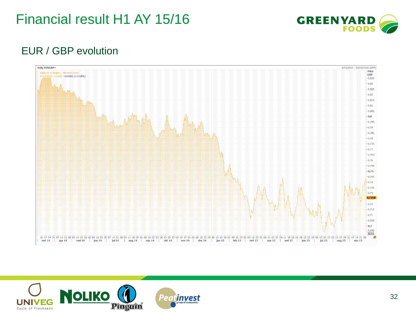#### Financial result H1 AY 15/16



#### EUR / GBP evolution



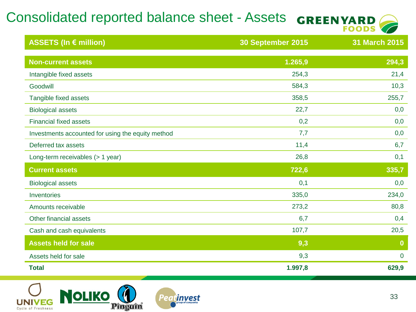# Consolidated reported balance sheet - Assets GREENYARD



| ASSETS (In € million)                             | 30 September 2015 | 31 March 2015 |
|---------------------------------------------------|-------------------|---------------|
| <b>Non-current assets</b>                         | 1.265,9           | 294,3         |
| Intangible fixed assets                           | 254,3             | 21,4          |
| Goodwill                                          | 584,3             | 10,3          |
| Tangible fixed assets                             | 358,5             | 255,7         |
| <b>Biological assets</b>                          | 22,7              | 0,0           |
| <b>Financial fixed assets</b>                     | 0,2               | 0,0           |
| Investments accounted for using the equity method | 7,7               | 0,0           |
| Deferred tax assets                               | 11,4              | 6,7           |
| Long-term receivables (> 1 year)                  | 26,8              | 0,1           |
| <b>Current assets</b>                             | 722,6             | 335,7         |
| <b>Biological assets</b>                          | 0,1               | 0,0           |
| Inventories                                       | 335,0             | 234,0         |
| Amounts receivable                                | 273,2             | 80,8          |
| Other financial assets                            | 6,7               | 0,4           |
| Cash and cash equivalents                         | 107,7             | 20,5          |
| <b>Assets held for sale</b>                       | 9,3               | $\bf{0}$      |
| Assets held for sale                              | 9,3               | $\mathbf 0$   |
| <b>Total</b>                                      | 1.997,8           | 629,9         |

Peatinvest

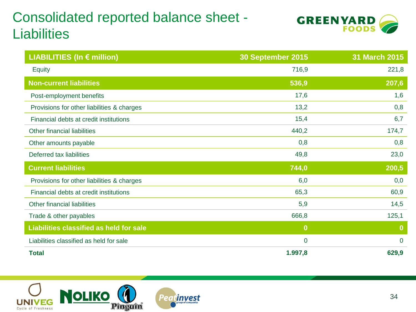### Consolidated reported balance sheet - **Liabilities**



| <b>LIABILITIES (In € million)</b>          | 30 September 2015 | <b>31 March 2015</b> |
|--------------------------------------------|-------------------|----------------------|
| <b>Equity</b>                              | 716,9             | 221,8                |
| <b>Non-current liabilities</b>             | 536,9             | 207,6                |
| Post-employment benefits                   | 17,6              | 1,6                  |
| Provisions for other liabilities & charges | 13,2              | 0,8                  |
| Financial debts at credit institutions     | 15,4              | 6,7                  |
| Other financial liabilities                | 440,2             | 174,7                |
| Other amounts payable                      | 0,8               | 0,8                  |
| Deferred tax liabilities                   | 49,8              | 23,0                 |
| <b>Current liabilities</b>                 | 744,0             | 200,5                |
| Provisions for other liabilities & charges | 6,0               | 0,0                  |
| Financial debts at credit institutions     | 65,3              | 60,9                 |
| Other financial liabilities                | 5,9               | 14,5                 |
| Trade & other payables                     | 666,8             | 125,1                |
| Liabilities classified as held for sale    | $\bf{0}$          | $\bf{0}$             |
| Liabilities classified as held for sale    | $\overline{0}$    | $\overline{0}$       |
| <b>Total</b>                               | 1.997,8           | 629,9                |

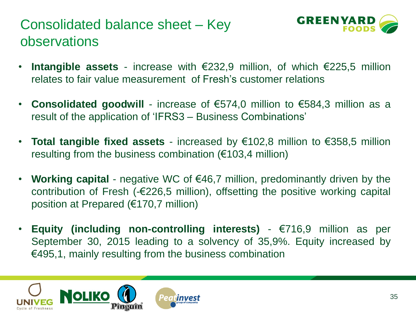#### Consolidated balance sheet – Key observations



- **Intangible assets** increase with €232,9 million, of which €225,5 million relates to fair value measurement of Fresh's customer relations
- **Consolidated goodwill** increase of €574,0 million to €584,3 million as a result of the application of 'IFRS3 – Business Combinations'
- **Total tangible fixed assets** increased by €102,8 million to €358,5 million resulting from the business combination (€103,4 million)
- **Working capital** negative WC of €46,7 million, predominantly driven by the contribution of Fresh (-€226,5 million), offsetting the positive working capital position at Prepared (€170,7 million)
- **Equity (including non-controlling interests)** €716,9 million as per September 30, 2015 leading to a solvency of 35,9%. Equity increased by €495,1, mainly resulting from the business combination

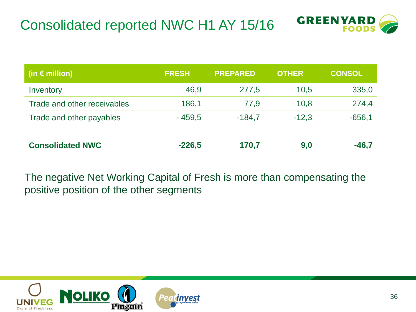

| (in $\epsilon$ million)     | <b>FRESH</b> | <b>PREPARED</b> | <b>OTHER</b> | <b>CONSOL</b> |
|-----------------------------|--------------|-----------------|--------------|---------------|
| Inventory                   | 46,9         | 277,5           | 10,5         | 335,0         |
| Trade and other receivables | 186,1        | 77,9            | 10,8         | 274,4         |
| Trade and other payables    | $-459,5$     | $-184,7$        | $-12.3$      | $-656,1$      |
|                             |              |                 |              |               |
| <b>Consolidated NWC</b>     | $-226,5$     | 170,7           | 9,0          | -46,7         |

The negative Net Working Capital of Fresh is more than compensating the positive position of the other segments

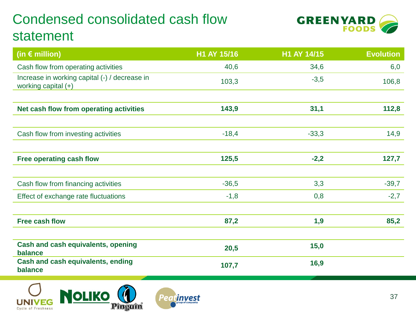#### Condensed consolidated cash flow statement



| (in $\epsilon$ million)                                              | H1 AY 15/16 | H1 AY 14/15 | <b>Evolution</b> |
|----------------------------------------------------------------------|-------------|-------------|------------------|
| Cash flow from operating activities                                  | 40,6        | 34,6        | 6,0              |
| Increase in working capital (-) / decrease in<br>working capital (+) | 103,3       | $-3,5$      | 106,8            |
|                                                                      |             |             |                  |
| Net cash flow from operating activities                              | 143,9       | 31,1        | 112,8            |
| Cash flow from investing activities                                  | $-18,4$     | $-33,3$     | 14,9             |
| Free operating cash flow                                             | 125,5       | $-2,2$      | 127,7            |
| Cash flow from financing activities                                  | $-36,5$     | 3,3         | $-39,7$          |
| Effect of exchange rate fluctuations                                 | $-1,8$      | 0,8         | $-2,7$           |
| <b>Free cash flow</b>                                                | 87,2        | 1,9         | 85,2             |
| <b>Cash and cash equivalents, opening</b><br>balance                 | 20,5        | 15,0        |                  |
| Cash and cash equivalents, ending<br>balance                         | 107,7       | 16,9        |                  |
|                                                                      |             |             |                  |

**Peatinvest** 

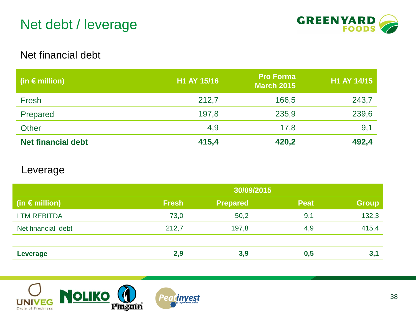#### Net debt / leverage



#### Net financial debt

| (in $\epsilon$ million)   | H1 AY 15/16 | <b>Pro Forma</b><br><b>March 2015</b> | H1 AY 14/15 |
|---------------------------|-------------|---------------------------------------|-------------|
| Fresh                     | 212,7       | 166,5                                 | 243,7       |
| Prepared                  | 197,8       | 235,9                                 | 239,6       |
| <b>Other</b>              | 4,9         | 17,8                                  | 9,1         |
| <b>Net financial debt</b> | 415,4       | 420,2                                 | 492,4       |

#### Leverage

|                         | 30/09/2015   |                 |             |              |
|-------------------------|--------------|-----------------|-------------|--------------|
| (in $\epsilon$ million) | <b>Fresh</b> | <b>Prepared</b> | <b>Peat</b> | <b>Group</b> |
| <b>LTM REBITDA</b>      | 73,0         | 50,2            | 9,1         | 132,3        |
| Net financial debt      | 212,7        | 197,8           | 4,9         | 415,4        |
|                         |              |                 |             |              |
| Leverage                | 2,9          | 3,9             | 0,5         | 3,1          |